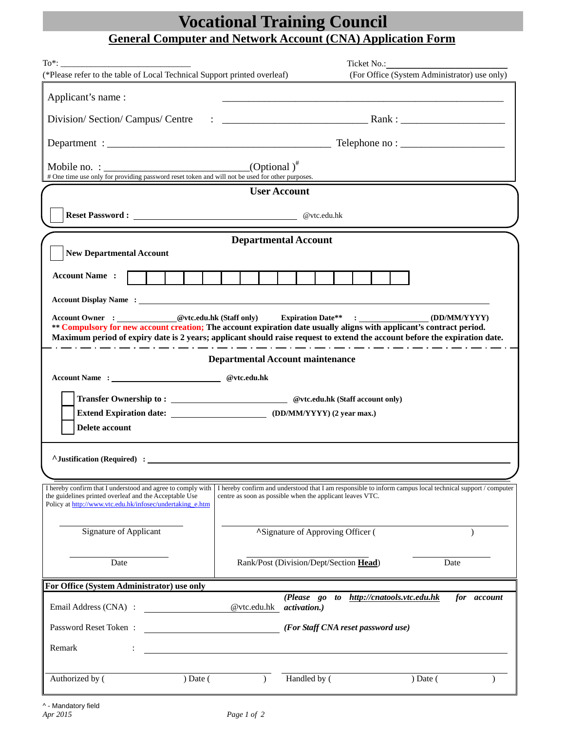## **Vocational Training Council General Computer and Network Account (CNA) Application Form**

| (*Please refer to the table of Local Technical Support printed overleaf)                                                                                                                                                                           |                                                                                                                                                                        |                                                                                                                                                                                                                                                                                                                                                    | (For Office (System Administrator) use only)            |  |  |
|----------------------------------------------------------------------------------------------------------------------------------------------------------------------------------------------------------------------------------------------------|------------------------------------------------------------------------------------------------------------------------------------------------------------------------|----------------------------------------------------------------------------------------------------------------------------------------------------------------------------------------------------------------------------------------------------------------------------------------------------------------------------------------------------|---------------------------------------------------------|--|--|
| Applicant's name:                                                                                                                                                                                                                                  |                                                                                                                                                                        |                                                                                                                                                                                                                                                                                                                                                    |                                                         |  |  |
| Division/Section/Campus/Centre                                                                                                                                                                                                                     |                                                                                                                                                                        | $\therefore$ $\qquad \qquad$ $\qquad$ $\qquad$ $\qquad$ $\qquad$ $\qquad$ $\qquad$ $\qquad$ $\qquad$ $\qquad$ $\qquad$ $\qquad$ $\qquad$ $\qquad$ $\qquad$ $\qquad$ $\qquad$ $\qquad$ $\qquad$ $\qquad$ $\qquad$ $\qquad$ $\qquad$ $\qquad$ $\qquad$ $\qquad$ $\qquad$ $\qquad$ $\qquad$ $\qquad$ $\qquad$ $\qquad$ $\qquad$ $\qquad$ $\qquad$ $\$ |                                                         |  |  |
|                                                                                                                                                                                                                                                    |                                                                                                                                                                        |                                                                                                                                                                                                                                                                                                                                                    |                                                         |  |  |
| # One time use only for providing password reset token and will not be used for other purposes.                                                                                                                                                    |                                                                                                                                                                        |                                                                                                                                                                                                                                                                                                                                                    |                                                         |  |  |
| <b>User Account</b>                                                                                                                                                                                                                                |                                                                                                                                                                        |                                                                                                                                                                                                                                                                                                                                                    |                                                         |  |  |
|                                                                                                                                                                                                                                                    |                                                                                                                                                                        |                                                                                                                                                                                                                                                                                                                                                    |                                                         |  |  |
| <b>Departmental Account</b>                                                                                                                                                                                                                        |                                                                                                                                                                        |                                                                                                                                                                                                                                                                                                                                                    |                                                         |  |  |
| <b>New Departmental Account</b>                                                                                                                                                                                                                    |                                                                                                                                                                        |                                                                                                                                                                                                                                                                                                                                                    |                                                         |  |  |
| <b>Account Name:</b>                                                                                                                                                                                                                               |                                                                                                                                                                        |                                                                                                                                                                                                                                                                                                                                                    |                                                         |  |  |
|                                                                                                                                                                                                                                                    |                                                                                                                                                                        |                                                                                                                                                                                                                                                                                                                                                    |                                                         |  |  |
| ** Compulsory for new account creation; The account expiration date usually aligns with applicant's contract period.<br>Maximum period of expiry date is 2 years; applicant should raise request to extend the account before the expiration date. |                                                                                                                                                                        |                                                                                                                                                                                                                                                                                                                                                    |                                                         |  |  |
| المتراد المتراد المتراد المتراد المتراد المتراد المتراد المتراد المتراد المتراد المتراد المتراد المتراد المتراد المتراد والمراد<br><b>Departmental Account maintenance</b>                                                                         |                                                                                                                                                                        |                                                                                                                                                                                                                                                                                                                                                    |                                                         |  |  |
| Account Name: @vtc.edu.hk                                                                                                                                                                                                                          |                                                                                                                                                                        |                                                                                                                                                                                                                                                                                                                                                    |                                                         |  |  |
|                                                                                                                                                                                                                                                    |                                                                                                                                                                        |                                                                                                                                                                                                                                                                                                                                                    |                                                         |  |  |
| Delete account                                                                                                                                                                                                                                     |                                                                                                                                                                        |                                                                                                                                                                                                                                                                                                                                                    |                                                         |  |  |
| A Justification (Required) :                                                                                                                                                                                                                       |                                                                                                                                                                        |                                                                                                                                                                                                                                                                                                                                                    |                                                         |  |  |
|                                                                                                                                                                                                                                                    |                                                                                                                                                                        |                                                                                                                                                                                                                                                                                                                                                    |                                                         |  |  |
| I hereby confirm that I understood and agree to comply with<br>the guidelines printed overleaf and the Acceptable Use<br>Policy at http://www.vtc.edu.hk/infosec/undertaking e.htm                                                                 | I hereby confirm and understood that I am responsible to inform campus local technical support / computer<br>centre as soon as possible when the applicant leaves VTC. |                                                                                                                                                                                                                                                                                                                                                    |                                                         |  |  |
| Signature of Applicant                                                                                                                                                                                                                             | <b>ASignature of Approving Officer (</b>                                                                                                                               |                                                                                                                                                                                                                                                                                                                                                    |                                                         |  |  |
| Date                                                                                                                                                                                                                                               | Rank/Post (Division/Dept/Section Head)<br>Date                                                                                                                         |                                                                                                                                                                                                                                                                                                                                                    |                                                         |  |  |
| For Office (System Administrator) use only                                                                                                                                                                                                         |                                                                                                                                                                        |                                                                                                                                                                                                                                                                                                                                                    |                                                         |  |  |
| Email Address (CNA) :                                                                                                                                                                                                                              | @vtc.edu.hk activation.)                                                                                                                                               |                                                                                                                                                                                                                                                                                                                                                    | (Please go to http://cnatools.vtc.edu.hk<br>for account |  |  |
| Password Reset Token:                                                                                                                                                                                                                              |                                                                                                                                                                        | (For Staff CNA reset password use)                                                                                                                                                                                                                                                                                                                 |                                                         |  |  |
| Remark                                                                                                                                                                                                                                             |                                                                                                                                                                        |                                                                                                                                                                                                                                                                                                                                                    |                                                         |  |  |
| Authorized by (<br>$)$ Date (                                                                                                                                                                                                                      | $\mathcal{L}$                                                                                                                                                          | Handled by (                                                                                                                                                                                                                                                                                                                                       | $)$ Date (                                              |  |  |